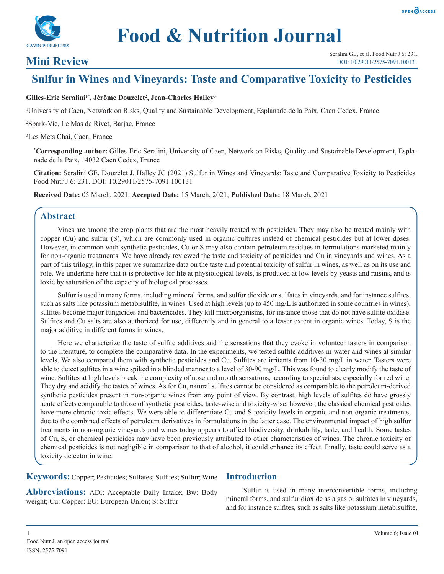



# **Mini Review**

# **Sulfur in Wines and Vineyards: Taste and Comparative Toxicity to Pesticides**

# **Gilles-Eric Seralini1\*, Jérôme Douzelet2 , Jean-Charles Halley3**

1 University of Caen, Network on Risks, Quality and Sustainable Development, Esplanade de la Paix, Caen Cedex, France

2 Spark-Vie, Le Mas de Rivet, Barjac, France

3 Les Mets Chai, Caen, France

**\* Corresponding author:** Gilles-Eric Seralini, University of Caen, Network on Risks, Quality and Sustainable Development, Esplanade de la Paix, 14032 Caen Cedex, France

**Citation:** Seralini GE, Douzelet J, Halley JC (2021) Sulfur in Wines and Vineyards: Taste and Comparative Toxicity to Pesticides. Food Nutr J 6: 231. DOI: 10.29011/2575-7091.100131

**Received Date:** 05 March, 2021; **Accepted Date:** 15 March, 2021; **Published Date:** 18 March, 2021

# **Abstract**

Vines are among the crop plants that are the most heavily treated with pesticides. They may also be treated mainly with copper (Cu) and sulfur (S), which are commonly used in organic cultures instead of chemical pesticides but at lower doses. However, in common with synthetic pesticides, Cu or S may also contain petroleum residues in formulations marketed mainly for non-organic treatments. We have already reviewed the taste and toxicity of pesticides and Cu in vineyards and wines. As a part of this trilogy, in this paper we summarize data on the taste and potential toxicity of sulfur in wines, as well as on its use and role. We underline here that it is protective for life at physiological levels, is produced at low levels by yeasts and raisins, and is toxic by saturation of the capacity of biological processes.

Sulfur is used in many forms, including mineral forms, and sulfur dioxide or sulfates in vineyards, and for instance sulfites, such as salts like potassium metabisulfite, in wines. Used at high levels (up to 450 mg/L is authorized in some countries in wines), sulfites become major fungicides and bactericides. They kill microorganisms, for instance those that do not have sulfite oxidase. Sulfites and Cu salts are also authorized for use, differently and in general to a lesser extent in organic wines. Today, S is the major additive in different forms in wines.

Here we characterize the taste of sulfite additives and the sensations that they evoke in volunteer tasters in comparison to the literature, to complete the comparative data. In the experiments, we tested sulfite additives in water and wines at similar levels. We also compared them with synthetic pesticides and Cu. Sulfites are irritants from 10-30 mg/L in water. Tasters were able to detect sulfites in a wine spiked in a blinded manner to a level of 30-90 mg/L. This was found to clearly modify the taste of wine. Sulfites at high levels break the complexity of nose and mouth sensations, according to specialists, especially for red wine. They dry and acidify the tastes of wines. As for Cu, natural sulfites cannot be considered as comparable to the petroleum-derived synthetic pesticides present in non-organic wines from any point of view. By contrast, high levels of sulfites do have grossly acute effects comparable to those of synthetic pesticides, taste-wise and toxicity-wise; however, the classical chemical pesticides have more chronic toxic effects. We were able to differentiate Cu and S toxicity levels in organic and non-organic treatments, due to the combined effects of petroleum derivatives in formulations in the latter case. The environmental impact of high sulfur treatments in non-organic vineyards and wines today appears to affect biodiversity, drinkability, taste, and health. Some tastes of Cu, S, or chemical pesticides may have been previously attributed to other characteristics of wines. The chronic toxicity of chemical pesticides is not negligible in comparison to that of alcohol, it could enhance its effect. Finally, taste could serve as a toxicity detector in wine.

**Keywords:** Copper; Pesticides; Sulfates; Sulfites; Sulfur; Wine

**Abbreviations:** ADI: Acceptable Daily Intake; Bw: Body weight; Cu: Copper: EU: European Union; S: Sulfur

# **Introduction**

Sulfur is used in many interconvertible forms, including mineral forms, and sulfur dioxide as a gas or sulfates in vineyards, and for instance sulfites, such as salts like potassium metabisulfite,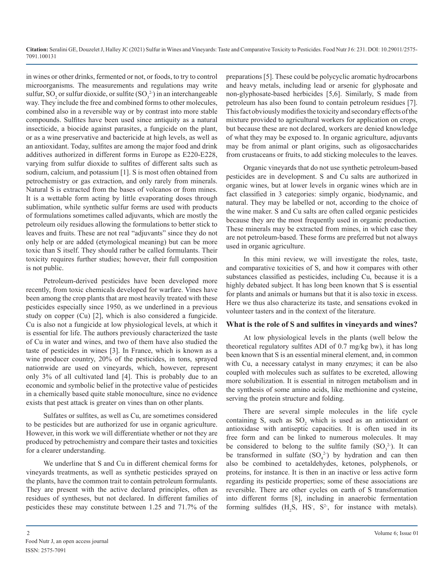in wines or other drinks, fermented or not, or foods, to try to control microorganisms. The measurements and regulations may write sulfur,  $SO_2$  or sulfur dioxide, or sulfite  $(SO_3^2)$  in an interchangeable way. They include the free and combined forms to other molecules, combined also in a reversible way or by contrast into more stable compounds. Sulfites have been used since antiquity as a natural insecticide, a biocide against parasites, a fungicide on the plant, or as a wine preservative and bactericide at high levels, as well as an antioxidant. Today, sulfites are among the major food and drink additives authorized in different forms in Europe as E220-E228, varying from sulfur dioxide to sulfites of different salts such as sodium, calcium, and potassium [1]. S is most often obtained from petrochemistry or gas extraction, and only rarely from minerals. Natural S is extracted from the bases of volcanos or from mines. It is a wettable form acting by little evaporating doses through sublimation, while synthetic sulfur forms are used with products of formulations sometimes called adjuvants, which are mostly the petroleum oily residues allowing the formulations to better stick to leaves and fruits. These are not real "adjuvants" since they do not only help or are added (etymological meaning) but can be more toxic than S itself. They should rather be called formulants. Their toxicity requires further studies; however, their full composition is not public.

Petroleum-derived pesticides have been developed more recently, from toxic chemicals developed for warfare. Vines have been among the crop plants that are most heavily treated with these pesticides especially since 1950, as we underlined in a previous study on copper (Cu) [2], which is also considered a fungicide. Cu is also not a fungicide at low physiological levels, at which it is essential for life. The authors previously characterized the taste of Cu in water and wines, and two of them have also studied the taste of pesticides in wines [3]. In France, which is known as a wine producer country, 20% of the pesticides, in tons, sprayed nationwide are used on vineyards, which, however, represent only 3% of all cultivated land [4]. This is probably due to an economic and symbolic belief in the protective value of pesticides in a chemically based quite stable monoculture, since no evidence exists that pest attack is greater on vines than on other plants.

Sulfates or sulfites, as well as Cu, are sometimes considered to be pesticides but are authorized for use in organic agriculture. However, in this work we will differentiate whether or not they are produced by petrochemistry and compare their tastes and toxicities for a clearer understanding.

We underline that S and Cu in different chemical forms for vineyards treatments, as well as synthetic pesticides sprayed on the plants, have the common trait to contain petroleum formulants. They are present with the active declared principles, often as residues of syntheses, but not declared. In different families of pesticides these may constitute between 1.25 and 71.7% of the

preparations [5]. These could be polycyclic aromatic hydrocarbons and heavy metals, including lead or arsenic for glyphosate and non-glyphosate-based herbicides [5,6]. Similarly, S made from petroleum has also been found to contain petroleum residues [7]. This fact obviously modifies the toxicity and secondary effects of the mixture provided to agricultural workers for application on crops, but because these are not declared, workers are denied knowledge of what they may be exposed to. In organic agriculture, adjuvants may be from animal or plant origins, such as oligosaccharides from crustaceans or fruits, to add sticking molecules to the leaves.

Organic vineyards that do not use synthetic petroleum-based pesticides are in development. S and Cu salts are authorized in organic wines, but at lower levels in organic wines which are in fact classified in 3 categories: simply organic, biodynamic, and natural. They may be labelled or not, according to the choice of the wine maker. S and Cu salts are often called organic pesticides because they are the most frequently used in organic production. These minerals may be extracted from mines, in which case they are not petroleum-based. These forms are preferred but not always used in organic agriculture.

In this mini review, we will investigate the roles, taste, and comparative toxicities of S, and how it compares with other substances classified as pesticides, including Cu, because it is a highly debated subject. It has long been known that S is essential for plants and animals or humans but that it is also toxic in excess. Here we thus also characterize its taste, and sensations evoked in volunteer tasters and in the context of the literature.

# **What is the role of S and sulfites in vineyards and wines?**

At low physiological levels in the plants (well below the theoretical regulatory sulfites ADI of 0.7 mg/kg bw), it has long been known that S is an essential mineral element, and, in common with Cu, a necessary catalyst in many enzymes; it can be also coupled with molecules such as sulfates to be excreted, allowing more solubilization. It is essential in nitrogen metabolism and in the synthesis of some amino acids, like methionine and cysteine, serving the protein structure and folding.

There are several simple molecules in the life cycle containing S, such as  $SO_2$  which is used as an antioxidant or antioxidase with antiseptic capacities. It is often used in its free form and can be linked to numerous molecules. It may be considered to belong to the sulfite family  $(SO_3^2)$ . It can be transformed in sulfate  $(SO_4^2)$  by hydration and can then also be combined to acetaldehydes, ketones, polyphenols, or proteins, for instance. It is then in an inactive or less active form regarding its pesticide properties; some of these associations are reversible. There are other cycles on earth of S transformation into different forms [8], including in anaerobic fermentation forming sulfides  $(H_2S, HS, S^2, for instance with metals).$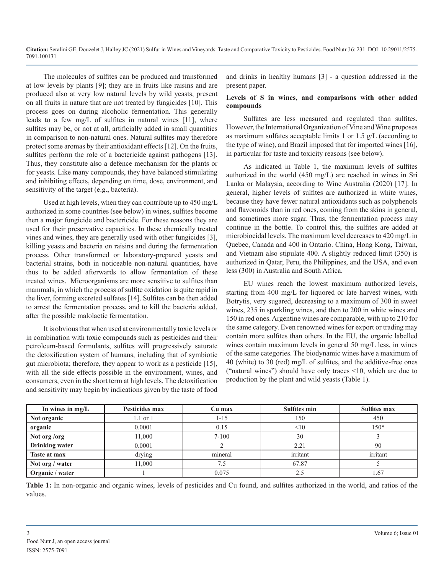The molecules of sulfites can be produced and transformed at low levels by plants [9]; they are in fruits like raisins and are produced also at very low natural levels by wild yeasts, present on all fruits in nature that are not treated by fungicides [10]. This process goes on during alcoholic fermentation. This generally leads to a few mg/L of sulfites in natural wines [11], where sulfites may be, or not at all, artificially added in small quantities in comparison to non-natural ones. Natural sulfites may therefore protect some aromas by their antioxidant effects [12]. On the fruits, sulfites perform the role of a bactericide against pathogens [13]. Thus, they constitute also a defence mechanism for the plants or for yeasts. Like many compounds, they have balanced stimulating and inhibiting effects, depending on time, dose, environment, and sensitivity of the target (e.g., bacteria).

Used at high levels, when they can contribute up to 450 mg/L authorized in some countries (see below) in wines, sulfites become then a major fungicide and bactericide. For these reasons they are used for their preservative capacities. In these chemically treated vines and wines, they are generally used with other fungicides [3], killing yeasts and bacteria on raisins and during the fermentation process. Other transformed or laboratory-prepared yeasts and bacterial strains, both in noticeable non-natural quantities, have thus to be added afterwards to allow fermentation of these treated wines. Microorganisms are more sensitive to sulfites than mammals, in which the process of sulfite oxidation is quite rapid in the liver, forming excreted sulfates [14]. Sulfites can be then added to arrest the fermentation process, and to kill the bacteria added, after the possible malolactic fermentation.

It is obvious that when used at environmentally toxic levels or in combination with toxic compounds such as pesticides and their petroleum-based formulants, sulfites will progressively saturate the detoxification system of humans, including that of symbiotic gut microbiota; therefore, they appear to work as a pesticide [15], with all the side effects possible in the environment, wines, and consumers, even in the short term at high levels. The detoxification and sensitivity may begin by indications given by the taste of food and drinks in healthy humans [3] - a question addressed in the present paper.

# **Levels of S in wines, and comparisons with other added compounds**

Sulfates are less measured and regulated than sulfites. However, the International Organization of Vine and Wine proposes as maximum sulfates acceptable limits 1 or 1.5 g/L (according to the type of wine), and Brazil imposed that for imported wines [16], in particular for taste and toxicity reasons (see below).

As indicated in Table 1, the maximum levels of sulfites authorized in the world (450 mg/L) are reached in wines in Sri Lanka or Malaysia, according to Wine Australia (2020) [17]. In general, higher levels of sulfites are authorized in white wines, because they have fewer natural antioxidants such as polyphenols and flavonoids than in red ones, coming from the skins in general, and sometimes more sugar. Thus, the fermentation process may continue in the bottle. To control this, the sulfites are added at microbiocidal levels. The maximum level decreases to 420 mg/L in Quebec, Canada and 400 in Ontario. China, Hong Kong, Taiwan, and Vietnam also stipulate 400. A slightly reduced limit (350) is authorized in Qatar, Peru, the Philippines, and the USA, and even less (300) in Australia and South Africa.

EU wines reach the lowest maximum authorized levels, starting from 400 mg/L for liquored or late harvest wines, with Botrytis, very sugared, decreasing to a maximum of 300 in sweet wines, 235 in sparkling wines, and then to 200 in white wines and 150 in red ones. Argentine wines are comparable, with up to 210 for the same category. Even renowned wines for export or trading may contain more sulfites than others. In the EU, the organic labelled wines contain maximum levels in general 50 mg/L less, in wines of the same categories. The biodynamic wines have a maximum of 40 (white) to 30 (red) mg/L of sulfites, and the additive-free ones ("natural wines") should have only traces <10, which are due to production by the plant and wild yeasts (Table 1).

| In wines in $mg/L$    | Pesticides max | Cu max    | <b>Sulfites min</b> | <b>Sulfites max</b> |
|-----------------------|----------------|-----------|---------------------|---------------------|
| Not organic           | $1.1$ or $+$   | 1-15      | 150                 | 450                 |
| organic               | 0.0001         | 0.15      | <10                 | 150*                |
| Not org/org           | 11.000         | $7 - 100$ | 30                  |                     |
| <b>Drinking water</b> | 0.0001         |           | 2.21                | 90                  |
| Taste at max          | drying         | mineral   | irritant            | irritant            |
| Not org / water       | 11.000         | 7.5       | 67.87               |                     |
| Organic / water       |                | 0.075     | 2.5                 | 67                  |

**Table 1:** In non-organic and organic wines, levels of pesticides and Cu found, and sulfites authorized in the world, and ratios of the values.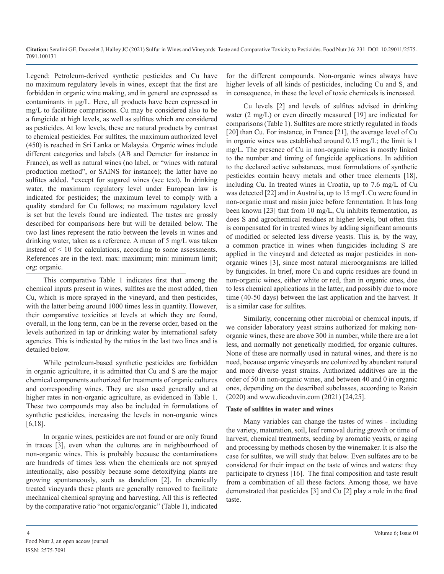Legend: Petroleum-derived synthetic pesticides and Cu have no maximum regulatory levels in wines, except that the first are forbidden in organic wine making, and in general are expressed as contaminants in μg/L. Here, all products have been expressed in mg/L to facilitate comparisons. Cu may be considered also to be a fungicide at high levels, as well as sulfites which are considered as pesticides. At low levels, these are natural products by contrast to chemical pesticides. For sulfites, the maximum authorized level (450) is reached in Sri Lanka or Malaysia. Organic wines include different categories and labels (AB and Demeter for instance in France), as well as natural wines (no label, or "wines with natural production method", or SAINS for instance); the latter have no sulfites added. \*except for sugared wines (see text). In drinking water, the maximum regulatory level under European law is indicated for pesticides; the maximum level to comply with a quality standard for Cu follows; no maximum regulatory level is set but the levels found are indicated. The tastes are grossly described for comparisons here but will be detailed below. The two last lines represent the ratio between the levels in wines and drinking water, taken as a reference. A mean of 5 mg/L was taken instead of < 10 for calculations, according to some assessments. References are in the text. max: maximum; min: minimum limit; org: organic.

This comparative Table 1 indicates first that among the chemical inputs present in wines, sulfites are the most added, then Cu, which is more sprayed in the vineyard, and then pesticides, with the latter being around 1000 times less in quantity. However, their comparative toxicities at levels at which they are found, overall, in the long term, can be in the reverse order, based on the levels authorized in tap or drinking water by international safety agencies. This is indicated by the ratios in the last two lines and is detailed below.

While petroleum-based synthetic pesticides are forbidden in organic agriculture, it is admitted that Cu and S are the major chemical components authorized for treatments of organic cultures and corresponding wines. They are also used generally and at higher rates in non-organic agriculture, as evidenced in Table 1. These two compounds may also be included in formulations of synthetic pesticides, increasing the levels in non-organic wines [6,18].

In organic wines, pesticides are not found or are only found in traces [3], even when the cultures are in neighbourhood of non-organic wines. This is probably because the contaminations are hundreds of times less when the chemicals are not sprayed intentionally, also possibly because some detoxifying plants are growing spontaneously, such as dandelion [2]. In chemically treated vineyards these plants are generally removed to facilitate mechanical chemical spraying and harvesting. All this is reflected by the comparative ratio "not organic/organic" (Table 1), indicated

for the different compounds. Non-organic wines always have higher levels of all kinds of pesticides, including Cu and S, and in consequence, in these the level of toxic chemicals is increased.

Cu levels [2] and levels of sulfites advised in drinking water (2 mg/L) or even directly measured [19] are indicated for comparisons (Table 1). Sulfites are more strictly regulated in foods [20] than Cu. For instance, in France [21], the average level of Cu in organic wines was established around 0.15 mg/L; the limit is 1 mg/L. The presence of Cu in non-organic wines is mostly linked to the number and timing of fungicide applications. In addition to the declared active substances, most formulations of synthetic pesticides contain heavy metals and other trace elements [18], including Cu. In treated wines in Croatia, up to 7.6 mg/L of Cu was detected [22] and in Australia, up to 15 mg/L Cu were found in non-organic must and raisin juice before fermentation. It has long been known [23] that from 10 mg/L, Cu inhibits fermentation, as does S and agrochemical residues at higher levels, but often this is compensated for in treated wines by adding significant amounts of modified or selected less diverse yeasts. This is, by the way, a common practice in wines when fungicides including S are applied in the vineyard and detected as major pesticides in nonorganic wines [3], since most natural microorganisms are killed by fungicides. In brief, more Cu and cupric residues are found in non-organic wines, either white or red, than in organic ones, due to less chemical applications in the latter, and possibly due to more time (40-50 days) between the last application and the harvest. It is a similar case for sulfites.

Similarly, concerning other microbial or chemical inputs, if we consider laboratory yeast strains authorized for making nonorganic wines, these are above 300 in number, while there are a lot less, and normally not genetically modified, for organic cultures. None of these are normally used in natural wines, and there is no need, because organic vineyards are colonized by abundant natural and more diverse yeast strains. Authorized additives are in the order of 50 in non-organic wines, and between 40 and 0 in organic ones, depending on the described subclasses, according to Raisin (2020) and www.dicoduvin.com (2021) [24,25].

# **Taste of sulfites in water and wines**

Many variables can change the tastes of wines - including the variety, maturation, soil, leaf removal during growth or time of harvest, chemical treatments, seeding by aromatic yeasts, or aging and processing by methods chosen by the winemaker. It is also the case for sulfites, we will study that below. Even sulfates are to be considered for their impact on the taste of wines and waters: they participate to dryness [16]. The final composition and taste result from a combination of all these factors. Among those, we have demonstrated that pesticides [3] and Cu [2] play a role in the final taste.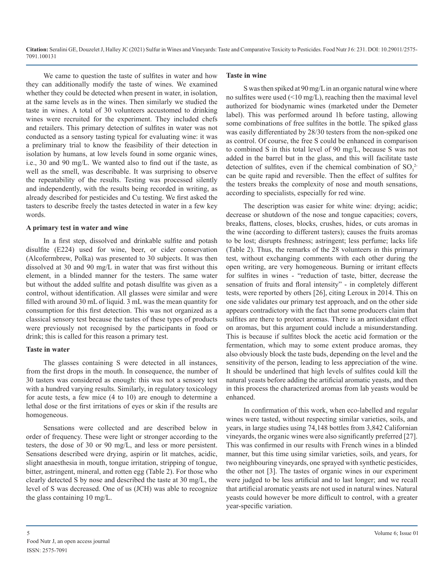We came to question the taste of sulfites in water and how they can additionally modify the taste of wines. We examined whether they could be detected when present in water, in isolation, at the same levels as in the wines. Then similarly we studied the taste in wines. A total of 30 volunteers accustomed to drinking wines were recruited for the experiment. They included chefs and retailers. This primary detection of sulfites in water was not conducted as a sensory tasting typical for evaluating wine: it was a preliminary trial to know the feasibility of their detection in isolation by humans, at low levels found in some organic wines, i.e., 30 and 90 mg/L. We wanted also to find out if the taste, as well as the smell, was describable. It was surprising to observe the repeatability of the results. Testing was processed silently and independently, with the results being recorded in writing, as already described for pesticides and Cu testing. We first asked the tasters to describe freely the tastes detected in water in a few key words.

#### **A primary test in water and wine**

In a first step, dissolved and drinkable sulfite and potash disulfite (E224) used for wine, beer, or cider conservation (Alcofermbrew, Polka) was presented to 30 subjects. It was then dissolved at 30 and 90 mg/L in water that was first without this element, in a blinded manner for the testers. The same water but without the added sulfite and potash disulfite was given as a control, without identification. All glasses were similar and were filled with around 30 mL of liquid. 3 mL was the mean quantity for consumption for this first detection. This was not organized as a classical sensory test because the tastes of these types of products were previously not recognised by the participants in food or drink; this is called for this reason a primary test.

#### **Taste in water**

The glasses containing S were detected in all instances, from the first drops in the mouth. In consequence, the number of 30 tasters was considered as enough: this was not a sensory test with a hundred varying results. Similarly, in regulatory toxicology for acute tests, a few mice (4 to 10) are enough to determine a lethal dose or the first irritations of eyes or skin if the results are homogeneous.

Sensations were collected and are described below in order of frequency. These were light or stronger according to the testers, the dose of 30 or 90 mg/L, and less or more persistent. Sensations described were drying, aspirin or lit matches, acidic, slight anaesthesia in mouth, tongue irritation, stripping of tongue, bitter, astringent, mineral, and rotten egg (Table 2). For those who clearly detected S by nose and described the taste at 30 mg/L, the level of S was decreased. One of us (JCH) was able to recognize the glass containing 10 mg/L.

#### **Taste in wine**

S was then spiked at 90 mg/L in an organic natural wine where no sulfites were used  $(\leq 10 \text{ mg/L})$ , reaching then the maximal level authorized for biodynamic wines (marketed under the Demeter label). This was performed around 1h before tasting, allowing some combinations of free sulfites in the bottle. The spiked glass was easily differentiated by 28/30 testers from the non-spiked one as control. Of course, the free S could be enhanced in comparison to combined S in this total level of 90 mg/L, because S was not added in the barrel but in the glass, and this will facilitate taste detection of sulfites, even if the chemical combination of  $SO_3^2$ can be quite rapid and reversible. Then the effect of sulfites for the testers breaks the complexity of nose and mouth sensations, according to specialists, especially for red wine.

The description was easier for white wine: drying; acidic; decrease or shutdown of the nose and tongue capacities; covers, breaks, flattens, closes, blocks, crushes, hides, or cuts aromas in the wine (according to different tasters); causes the fruits aromas to be lost; disrupts freshness; astringent; less perfume; lacks life (Table 2). Thus, the remarks of the 28 volunteers in this primary test, without exchanging comments with each other during the open writing, are very homogeneous. Burning or irritant effects for sulfites in wines - "reduction of taste, bitter, decrease the sensation of fruits and floral intensity" - in completely different tests, were reported by others [26], citing Leroux in 2014. This on one side validates our primary test approach, and on the other side appears contradictory with the fact that some producers claim that sulfites are there to protect aromas. There is an antioxidant effect on aromas, but this argument could include a misunderstanding. This is because if sulfites block the acetic acid formation or the fermentation, which may to some extent produce aromas, they also obviously block the taste buds, depending on the level and the sensitivity of the person, leading to less appreciation of the wine. It should be underlined that high levels of sulfites could kill the natural yeasts before adding the artificial aromatic yeasts, and then in this process the characterized aromas from lab yeasts would be enhanced.

In confirmation of this work, when eco-labelled and regular wines were tasted, without respecting similar varieties, soils, and years, in large studies using 74,148 bottles from 3,842 Californian vineyards, the organic wines were also significantly preferred [27]. This was confirmed in our results with French wines in a blinded manner, but this time using similar varieties, soils, and years, for two neighbouring vineyards, one sprayed with synthetic pesticides, the other not [3]. The tastes of organic wines in our experiment were judged to be less artificial and to last longer; and we recall that artificial aromatic yeasts are not used in natural wines. Natural yeasts could however be more difficult to control, with a greater year-specific variation.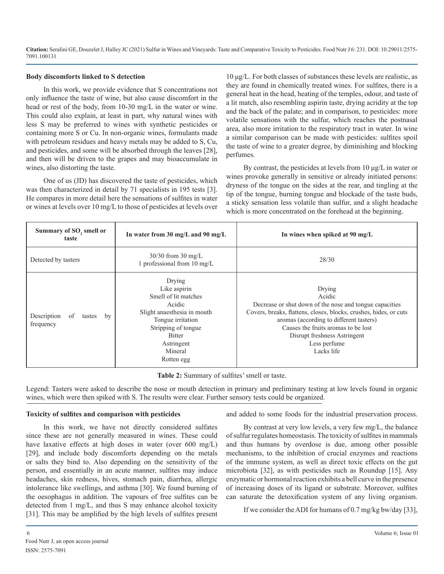### **Body discomforts linked to S detection**

In this work, we provide evidence that S concentrations not only influence the taste of wine, but also cause discomfort in the head or rest of the body, from 10-30 mg/L in the water or wine. This could also explain, at least in part, why natural wines with less S may be preferred to wines with synthetic pesticides or containing more S or Cu. In non-organic wines, formulants made with petroleum residues and heavy metals may be added to S, Cu, and pesticides, and some will be absorbed through the leaves [28], and then will be driven to the grapes and may bioaccumulate in wines, also distorting the taste.

One of us (JD) has discovered the taste of pesticides, which was then characterized in detail by 71 specialists in 195 tests [3]. He compares in more detail here the sensations of sulfites in water or wines at levels over 10 mg/L to those of pesticides at levels over 10 μg/L. For both classes of substances these levels are realistic, as they are found in chemically treated wines. For sulfites, there is a general heat in the head, heating of the temples, odour, and taste of a lit match, also resembling aspirin taste, drying acridity at the top and the back of the palate; and in comparison, to pesticides: more volatile sensations with the sulfur, which reaches the postnasal area, also more irritation to the respiratory tract in water. In wine a similar comparison can be made with pesticides: sulfites spoil the taste of wine to a greater degree, by diminishing and blocking perfumes.

By contrast, the pesticides at levels from 10 μg/L in water or wines provoke generally in sensitive or already initiated persons: dryness of the tongue on the sides at the rear, and tingling at the tip of the tongue, burning tongue and blockade of the taste buds, a sticky sensation less volatile than sulfur, and a slight headache which is more concentrated on the forehead at the beginning.

| Summary of SO, smell or<br>taste                          | In water from 30 mg/L and 90 mg/L                                                                                                                                                           | In wines when spiked at 90 mg/L                                                                                                                                                                                                                                                                  |  |
|-----------------------------------------------------------|---------------------------------------------------------------------------------------------------------------------------------------------------------------------------------------------|--------------------------------------------------------------------------------------------------------------------------------------------------------------------------------------------------------------------------------------------------------------------------------------------------|--|
| Detected by tasters                                       | $30/30$ from 30 mg/L<br>1 professional from 10 mg/L                                                                                                                                         | 28/30                                                                                                                                                                                                                                                                                            |  |
| Description<br>tastes<br>by<br><sub>of</sub><br>frequency | Drying<br>Like aspirin<br>Smell of lit matches<br>Acidic<br>Slight anaesthesia in mouth<br>Tongue irritation<br>Stripping of tongue<br><b>Bitter</b><br>Astringent<br>Mineral<br>Rotten egg | Drying<br>Acidic<br>Decrease or shut down of the nose and tongue capacities<br>Covers, breaks, flattens, closes, blocks, crushes, hides, or cuts<br>aromas (according to different tasters)<br>Causes the fruits aromas to be lost<br>Disrupt freshness Astringent<br>Less perfume<br>Lacks life |  |

**Table 2:** Summary of sulfites' smell or taste.

Legend: Tasters were asked to describe the nose or mouth detection in primary and preliminary testing at low levels found in organic wines, which were then spiked with S. The results were clear. Further sensory tests could be organized.

#### **Toxicity of sulfites and comparison with pesticides**

In this work, we have not directly considered sulfates since these are not generally measured in wines. These could have laxative effects at high doses in water (over 600 mg/L) [29], and include body discomforts depending on the metals or salts they bind to. Also depending on the sensitivity of the person, and essentially in an acute manner, sulfites may induce headaches, skin redness, hives, stomach pain, diarrhea, allergic intolerance like swellings, and asthma [30]. We found burning of the oesophagus in addition. The vapours of free sulfites can be detected from 1 mg/L, and thus S may enhance alcohol toxicity [31]. This may be amplified by the high levels of sulfites present

and added to some foods for the industrial preservation process.

By contrast at very low levels, a very few mg/L, the balance of sulfur regulates homeostasis. The toxicity of sulfites in mammals and thus humans by overdose is due, among other possible mechanisms, to the inhibition of crucial enzymes and reactions of the immune system, as well as direct toxic effects on the gut microbiota [32], as with pesticides such as Roundup [15]. Any enzymatic or hormonal reaction exhibits a bell curve in the presence of increasing doses of its ligand or substrate. Moreover, sulfites can saturate the detoxification system of any living organism.

If we consider the ADI for humans of 0.7 mg/kg bw/day [33],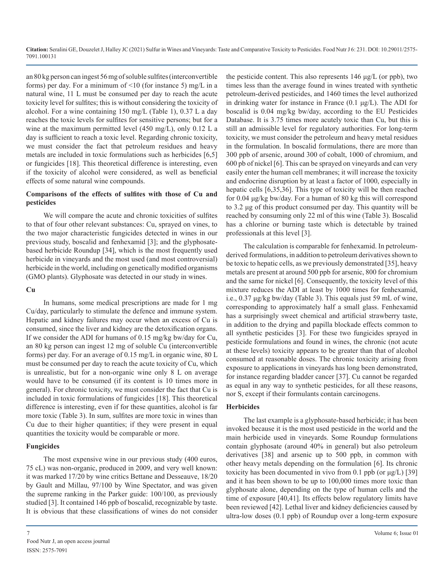an 80 kg person can ingest 56 mg of soluble sulfites (interconvertible forms) per day. For a minimum of  $\leq 10$  (for instance 5) mg/L in a natural wine, 11 L must be consumed per day to reach the acute toxicity level for sulfites; this is without considering the toxicity of alcohol. For a wine containing 150 mg/L (Table 1), 0.37 L a day reaches the toxic levels for sulfites for sensitive persons; but for a wine at the maximum permitted level (450 mg/L), only 0.12 L a day is sufficient to reach a toxic level. Regarding chronic toxicity, we must consider the fact that petroleum residues and heavy metals are included in toxic formulations such as herbicides [6,5] or fungicides [18]. This theoretical difference is interesting, even if the toxicity of alcohol were considered, as well as beneficial effects of some natural wine compounds.

## **Comparisons of the effects of sulfites with those of Cu and pesticides**

We will compare the acute and chronic toxicities of sulfites to that of four other relevant substances: Cu, sprayed on vines, to the two major characteristic fungicides detected in wines in our previous study, boscalid and fenhexamid [3]; and the glyphosatebased herbicide Roundup [34], which is the most frequently used herbicide in vineyards and the most used (and most controversial) herbicide in the world, including on genetically modified organisms (GMO plants). Glyphosate was detected in our study in wines.

# **Cu**

In humans, some medical prescriptions are made for 1 mg Cu/day, particularly to stimulate the defence and immune system. Hepatic and kidney failures may occur when an excess of Cu is consumed, since the liver and kidney are the detoxification organs. If we consider the ADI for humans of 0.15 mg/kg bw/day for Cu, an 80 kg person can ingest 12 mg of soluble Cu (interconvertible forms) per day. For an average of 0.15 mg/L in organic wine, 80 L must be consumed per day to reach the acute toxicity of Cu, which is unrealistic, but for a non-organic wine only 8 L on average would have to be consumed (if its content is 10 times more in general). For chronic toxicity, we must consider the fact that Cu is included in toxic formulations of fungicides [18]. This theoretical difference is interesting, even if for these quantities, alcohol is far more toxic (Table 3). In sum, sulfites are more toxic in wines than Cu due to their higher quantities; if they were present in equal quantities the toxicity would be comparable or more.

# **Fungicides**

The most expensive wine in our previous study (400 euros, 75 cL) was non-organic, produced in 2009, and very well known: it was marked 17/20 by wine critics Bettane and Desseauve, 18/20 by Gault and Millau, 97/100 by Wine Spectator, and was given the supreme ranking in the Parker guide: 100/100, as previously studied [3]. It contained 146 ppb of boscalid, recognizable by taste. It is obvious that these classifications of wines do not consider the pesticide content. This also represents 146 μg/L (or ppb), two times less than the average found in wines treated with synthetic petroleum-derived pesticides, and 1460 times the level authorized in drinking water for instance in France (0.1 μg/L). The ADI for boscalid is 0.04 mg/kg bw/day, according to the EU Pesticides Database. It is 3.75 times more acutely toxic than Cu, but this is still an admissible level for regulatory authorities. For long-term toxicity, we must consider the petroleum and heavy metal residues in the formulation. In boscalid formulations, there are more than 300 ppb of arsenic, around 300 of cobalt, 1000 of chromium, and 600 pb of nickel [6]. This can be sprayed on vineyards and can very easily enter the human cell membranes; it will increase the toxicity and endocrine disruption by at least a factor of 1000, especially in hepatic cells [6,35,36]. This type of toxicity will be then reached for 0.04 μg/kg bw/day. For a human of 80 kg this will correspond to 3.2 μg of this product consumed per day. This quantity will be reached by consuming only 22 ml of this wine (Table 3). Boscalid has a chlorine or burning taste which is detectable by trained professionals at this level [3].

The calculation is comparable for fenhexamid. In petroleumderived formulations, in addition to petroleum derivatives shown to be toxic to hepatic cells, as we previously demonstrated [35], heavy metals are present at around 500 ppb for arsenic, 800 for chromium and the same for nickel [6]. Consequently, the toxicity level of this mixture reduces the ADI at least by 1000 times for fenhexamid, i.e., 0.37 μg/kg bw/day (Table 3). This equals just 59 mL of wine, corresponding to approximately half a small glass. Fenhexamid has a surprisingly sweet chemical and artificial strawberry taste, in addition to the drying and papilla blockade effects common to all synthetic pesticides [3]. For these two fungicides sprayed in pesticide formulations and found in wines, the chronic (not acute at these levels) toxicity appears to be greater than that of alcohol consumed at reasonable doses. The chronic toxicity arising from exposure to applications in vineyards has long been demonstrated, for instance regarding bladder cancer [37]. Cu cannot be regarded as equal in any way to synthetic pesticides, for all these reasons, nor S, except if their formulants contain carcinogens.

# **Herbicides**

The last example is a glyphosate-based herbicide; it has been invoked because it is the most used pesticide in the world and the main herbicide used in vineyards. Some Roundup formulations contain glyphosate (around 40% in general) but also petroleum derivatives [38] and arsenic up to 500 ppb, in common with other heavy metals depending on the formulation [6]. Its chronic toxicity has been documented in vivo from 0.1 ppb (or μg/L) [39] and it has been shown to be up to 100,000 times more toxic than glyphosate alone, depending on the type of human cells and the time of exposure [40,41]. Its effects below regulatory limits have been reviewed [42]. Lethal liver and kidney deficiencies caused by ultra-low doses (0.1 ppb) of Roundup over a long-term exposure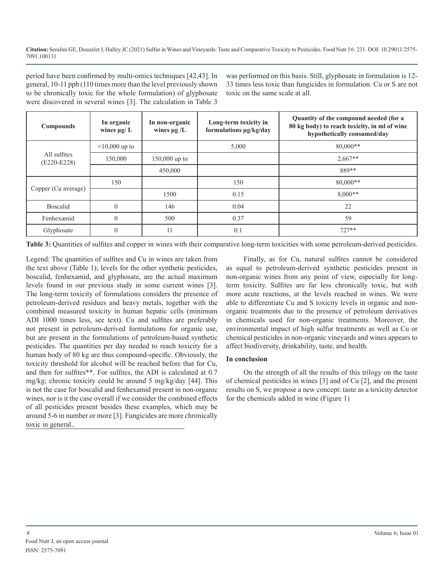period have been confirmed by multi-omics techniques [42,43]. In general, 10-11 ppb (110 times more than the level previously shown to be chronically toxic for the whole formulation) of glyphosate were discovered in several wines [3]. The calculation in Table 3 was performed on this basis. Still, glyphosate in formulation is 12- 33 times less toxic than fungicides in formulation. Cu or S are not toxic on the same scale at all.

| <b>Compounds</b>              | In organic<br>wines $\mu$ g/L | In non-organic<br>wines $\mu$ g /L | Long-term toxicity in<br>formulations µg/kg/day | Quantity of the compound needed (for a<br>80 kg body) to reach toxicity, in ml of wine<br>hypothetically consumed/day |
|-------------------------------|-------------------------------|------------------------------------|-------------------------------------------------|-----------------------------------------------------------------------------------------------------------------------|
| All sulfites<br>$(E220-E228)$ | $<$ 10,000 up to              |                                    | 5,000                                           | $80.000**$                                                                                                            |
|                               | 150,000                       | $150,000$ up to                    |                                                 | $2,667**$                                                                                                             |
|                               |                               | 450,000                            |                                                 | 889**                                                                                                                 |
| Copper (Cu average)           | 150                           |                                    | 150                                             | $80.000**$                                                                                                            |
|                               |                               | 1500                               | 0.15                                            | $8,000**$                                                                                                             |
| <b>Boscalid</b>               | $\theta$                      | 146                                | 0.04                                            | 22                                                                                                                    |
| Fenhexamid                    | $\theta$                      | 500                                | 0.37                                            | 59                                                                                                                    |
| Glyphosate                    | $\Omega$                      | 11                                 | 0.1                                             | $727**$                                                                                                               |

**Table 3:** Quantities of sulfites and copper in wines with their comparative long-term toxicities with some petroleum-derived pesticides.

Legend: The quantities of sulfites and Cu in wines are taken from the text above (Table 1); levels for the other synthetic pesticides, boscalid, fenhexamid, and glyphosate, are the actual maximum levels found in our previous study in some current wines [3]. The long-term toxicity of formulations considers the presence of petroleum-derived residues and heavy metals, together with the combined measured toxicity in human hepatic cells (minimum ADI 1000 times less, see text). Cu and sulfites are preferably not present in petroleum-derived formulations for organic use, but are present in the formulations of petroleum-based synthetic pesticides. The quantities per day needed to reach toxicity for a human body of 80 kg are thus compound-specific. Obviously, the toxicity threshold for alcohol will be reached before that for Cu, and then for sulfites\*\*. For sulfites, the ADI is calculated at 0.7 mg/kg; chronic toxicity could be around 5 mg/kg/day [44]. This is not the case for boscalid and fenhexamid present in non-organic wines, nor is it the case overall if we consider the combined effects of all pesticides present besides these examples, which may be around 5-6 in number or more [3]. Fungicides are more chronically toxic in general..

Finally, as for Cu, natural sulfites cannot be considered as equal to petroleum-derived synthetic pesticides present in non-organic wines from any point of view, especially for longterm toxicity. Sulfites are far less chronically toxic, but with more acute reactions, at the levels reached in wines. We were able to differentiate Cu and S toxicity levels in organic and nonorganic treatments due to the presence of petroleum derivatives in chemicals used for non-organic treatments. Moreover, the environmental impact of high sulfur treatments as well as Cu or chemical pesticides in non-organic vineyards and wines appears to affect biodiversity, drinkability, taste, and health.

# **In conclusion**

On the strength of all the results of this trilogy on the taste of chemical pesticides in wines [3] and of Cu [2], and the present results on S, we propose a new concept: taste as a toxicity detector for the chemicals added in wine (Figure 1)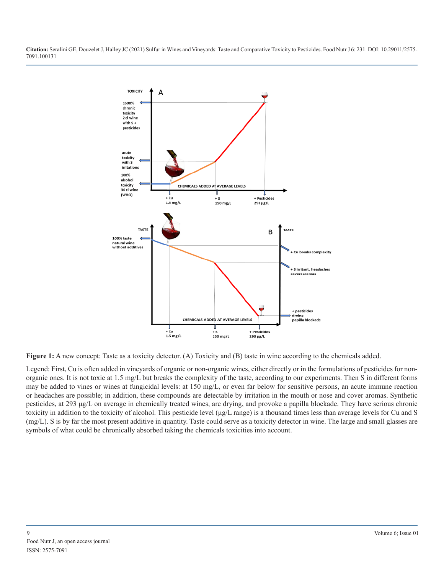

**Figure 1:** A new concept: Taste as a toxicity detector. (A) Toxicity and (B) taste in wine according to the chemicals added.

Legend: First, Cu is often added in vineyards of organic or non-organic wines, either directly or in the formulations of pesticides for nonorganic ones. It is not toxic at 1.5 mg/L but breaks the complexity of the taste, according to our experiments. Then S in different forms may be added to vines or wines at fungicidal levels: at 150 mg/L, or even far below for sensitive persons, an acute immune reaction or headaches are possible; in addition, these compounds are detectable by irritation in the mouth or nose and cover aromas. Synthetic pesticides, at 293 μg/L on average in chemically treated wines, are drying, and provoke a papilla blockade. They have serious chronic toxicity in addition to the toxicity of alcohol. This pesticide level (μg/L range) is a thousand times less than average levels for Cu and S (mg/L). S is by far the most present additive in quantity. Taste could serve as a toxicity detector in wine. The large and small glasses are symbols of what could be chronically absorbed taking the chemicals toxicities into account.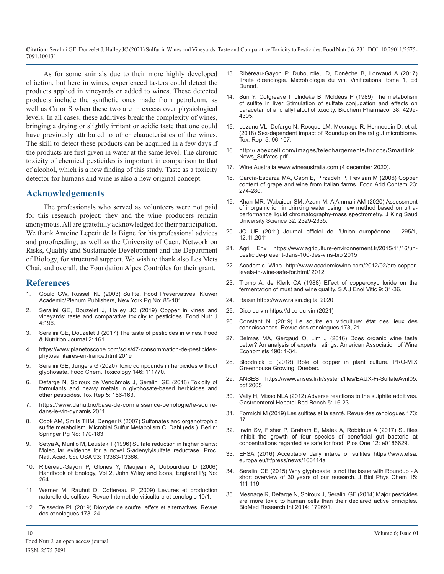As for some animals due to their more highly developed olfaction, but here in wines, experienced tasters could detect the products applied in vineyards or added to wines. These detected products include the synthetic ones made from petroleum, as well as Cu or S when these two are in excess over physiological levels. In all cases, these additives break the complexity of wines, bringing a drying or slightly irritant or acidic taste that one could have previously attributed to other characteristics of the wines. The skill to detect these products can be acquired in a few days if the products are first given in water at the same level. The chronic toxicity of chemical pesticides is important in comparison to that of alcohol, which is a new finding of this study. Taste as a toxicity detector for humans and wine is also a new original concept.

# **Acknowledgements**

The professionals who served as volunteers were not paid for this research project; they and the wine producers remain anonymous. All are gratefully acknowledged for their participation. We thank Antoine Lepetit de la Bigne for his professional advices and proofreading; as well as the University of Caen, Network on Risks, Quality and Sustainable Development and the Department of Biology, for structural support. We wish to thank also Les Mets Chai, and overall, the Foundation Alpes Contrôles for their grant.

# **References**

- 1. [Gould GW, Russell NJ \(2003\) Sulfite. Food Preservatives, Kluwer](https://link.springer.com/chapter/10.1007/978-0-387-30042-9_5)  [Academic/Plenum Publishers, New York Pg No: 85-101.](https://link.springer.com/chapter/10.1007/978-0-387-30042-9_5)
- 2. [Seralini GE, Douzelet J, Halley JC \(2019\) Copper in vines and](https://www.gavinpublishers.com/articles/mini-review/Food-Nutrition-Journal-ISSN-2575-7091/copper-in-wines-and-vineyards-taste-and-comparative-toxicity-to-pesticides)  [vineyards: taste and comparative toxicity to pesticides. Food Nutr J](https://www.gavinpublishers.com/articles/mini-review/Food-Nutrition-Journal-ISSN-2575-7091/copper-in-wines-and-vineyards-taste-and-comparative-toxicity-to-pesticides)  [4:196.](https://www.gavinpublishers.com/articles/mini-review/Food-Nutrition-Journal-ISSN-2575-7091/copper-in-wines-and-vineyards-taste-and-comparative-toxicity-to-pesticides)
- 3. [Seralini GE, Douzelet J \(2017\) The taste of pesticides in wines. Food](https://gavinpublishers.com/articles/research-article/Food-Nutrition-Journal-issn-2575-7091/the-taste-of-pesticides-in-wines)  [& Nutrition Journal 2: 161.](https://gavinpublishers.com/articles/research-article/Food-Nutrition-Journal-issn-2575-7091/the-taste-of-pesticides-in-wines)
- 4. [https://www.planetoscope.com/sols/47-consommation-de-pesticides](https://www.planetoscope.com/sols/47-consommation-de-pesticides-phytosanitaires-en-france.html 2019)[phytosanitaires-en-france.html 2019](https://www.planetoscope.com/sols/47-consommation-de-pesticides-phytosanitaires-en-france.html 2019)
- 5. [Seralini GE, Jungers G \(2020\) Toxic compounds in herbicides without](https://pubmed.ncbi.nlm.nih.gov/33027613/)  [glyphosate. Food Chem. Toxicology 146: 111770.](https://pubmed.ncbi.nlm.nih.gov/33027613/)
- 6. [Defarge N, Spiroux de Vendômois J, Seralini GE \(2018\) Toxicity of](https://www.sciencedirect.com/science/article/pii/S221475001730149X)  [formulants and heavy metals in glyphosate-based herbicides and](https://www.sciencedirect.com/science/article/pii/S221475001730149X)  [other pesticides. Tox Rep 5: 156-163.](https://www.sciencedirect.com/science/article/pii/S221475001730149X)
- 7. [https://www.dahu.bio/base-de-connaissance-oenologie/le-soufre](https://www.dahu.bio/base-de-connaissance-oenologie/le-soufre-dans-le-vin-dynamis 2011)[dans-le-vin-dynamis 2011](https://www.dahu.bio/base-de-connaissance-oenologie/le-soufre-dans-le-vin-dynamis 2011)
- 8. [Cook AM, Smits THM, Denger K \(2007\) Sulfonates and organotrophic](https://link.springer.com/chapter/10.1007%2F978-3-540-72682-1_14)  [sulfite metabolism. Microbial Sulfur Metabolism C. Dahl \(eds.\). Berlin:](https://link.springer.com/chapter/10.1007%2F978-3-540-72682-1_14)  [Springer Pg No: 170-183.](https://link.springer.com/chapter/10.1007%2F978-3-540-72682-1_14)
- 9. [Setya A, Murillo M, Leustek T \(1996\) Sulfate reduction in higher plants:](https://www.pnas.org/content/93/23/13383#:~:text=Research Article-,Sulfate reduction in higher plants%3A Molecular evidence,a novel 5%E2%80%B2%2Dadenylylsulfate reductase&text=Three classes of cDNA were,mutant strain of Escherichia coli.)  [Molecular evidence for a novel 5-adenylylsulfate reductase. Proc.](https://www.pnas.org/content/93/23/13383#:~:text=Research Article-,Sulfate reduction in higher plants%3A Molecular evidence,a novel 5%E2%80%B2%2Dadenylylsulfate reductase&text=Three classes of cDNA were,mutant strain of Escherichia coli.)  [Natl. Acad. Sci. USA 93: 13383-13386.](https://www.pnas.org/content/93/23/13383#:~:text=Research Article-,Sulfate reduction in higher plants%3A Molecular evidence,a novel 5%E2%80%B2%2Dadenylylsulfate reductase&text=Three classes of cDNA were,mutant strain of Escherichia coli.)
- 10. [Ribéreau-Gayon P, Glories Y, Maujean A, Dubourdieu D \(2006\)](https://onlinelibrary.wiley.com/doi/book/10.1002/0470010398)  Handbook of Enology, Vol 2, John Wiley and Sons, England Pg No: [264.](https://onlinelibrary.wiley.com/doi/book/10.1002/0470010398)
- 11. [Werner M, Rauhut D, Cottereau P \(2009\) Levures et production](https://www.infowine.com/intranet/libretti/libretto7398-01-1.pdf)  [naturelle de sulfites. Revue Internet de viticulture et œnologie 10/1.](https://www.infowine.com/intranet/libretti/libretto7398-01-1.pdf)
- 12. Teissedre PL (2019) Dioxyde de soufre, effets et alternatives. Revue des œnologues 173: 24.
- 13. Ribéreau-Gayon P, Dubourdieu D, Donèche B, Lonvaud A (2017) Traité d'œnologie. Microbiologie du vin. Vinifications, tome 1, Ed Dunod.
- 14. [Sun Y, Cotgreave I, Llndeke B, Moldéus P \(1989\) The metabolism](https://pubmed.ncbi.nlm.nih.gov/2597201/#:~:text=When NAPQI and acrolein were,not against paracetamol induced toxicity.)  [of sulfite in liver Stimulation of sulfate conjugation and effects on](https://pubmed.ncbi.nlm.nih.gov/2597201/#:~:text=When NAPQI and acrolein were,not against paracetamol induced toxicity.)  [paracetamol and allyl alcohol toxicity. Biochem Pharmacol 38: 4299-](https://pubmed.ncbi.nlm.nih.gov/2597201/#:~:text=When NAPQI and acrolein were,not against paracetamol induced toxicity.) [4305.](https://pubmed.ncbi.nlm.nih.gov/2597201/#:~:text=When NAPQI and acrolein were,not against paracetamol induced toxicity.)
- 15. [Lozano VL, Defarge N, Rocque LM, Mesnage R, Hennequin D, et al.](https://www.sciencedirect.com/science/article/pii/S2214750017301129#:~:text=A culture%2Dbased method showed,effect on rat gut microbiota.&text=In conclusion%2C we revealed that,and thus warrants further investigation.)  [\(2018\) Sex-dependent impact of Roundup on the rat gut microbiome.](https://www.sciencedirect.com/science/article/pii/S2214750017301129#:~:text=A culture%2Dbased method showed,effect on rat gut microbiota.&text=In conclusion%2C we revealed that,and thus warrants further investigation.)  [Tox. Rep. 5: 96-107.](https://www.sciencedirect.com/science/article/pii/S2214750017301129#:~:text=A culture%2Dbased method showed,effect on rat gut microbiota.&text=In conclusion%2C we revealed that,and thus warrants further investigation.)
- 16. [http://labexcell.com/images/telechargements/fr/docs/Smartlink\\_](http://labexcell.com/images/telechargements/fr/docs/Smartlink_News_Sulfates.pdf) [News\\_Sulfates.pdf](http://labexcell.com/images/telechargements/fr/docs/Smartlink_News_Sulfates.pdf)
- 17. Wine Australia www.wineaustralia.com (4 december 2020).
- 18. [García-Esparza MA, Capri E, Pirzadeh P, Trevisan M \(2006\) Copper](https://pubmed.ncbi.nlm.nih.gov/16517529/)  [content of grape and wine from Italian farms. Food Add Contam 23:](https://pubmed.ncbi.nlm.nih.gov/16517529/)  [274-280.](https://pubmed.ncbi.nlm.nih.gov/16517529/)
- 19. [Khan MR, Wabaidur SM, Azam M, AlAmmari AM \(2020\) Assessment](https://www.sciencedirect.com/science/article/pii/S1018364720301038#:~:text=A sensitive%2C fast and highly,in bottled and metropolitan water.&text=The obtained results indicate that,can cause serious human health.)  [of inorganic ion in drinking water using new method based on ultra](https://www.sciencedirect.com/science/article/pii/S1018364720301038#:~:text=A sensitive%2C fast and highly,in bottled and metropolitan water.&text=The obtained results indicate that,can cause serious human health.)[performance liquid chromatography-mass spectrometry. J King Saud](https://www.sciencedirect.com/science/article/pii/S1018364720301038#:~:text=A sensitive%2C fast and highly,in bottled and metropolitan water.&text=The obtained results indicate that,can cause serious human health.)  [University Science 32: 2329-2335.](https://www.sciencedirect.com/science/article/pii/S1018364720301038#:~:text=A sensitive%2C fast and highly,in bottled and metropolitan water.&text=The obtained results indicate that,can cause serious human health.)
- 20. JO UE (2011) Journal officiel de l'Union européenne L 295/1, 12.11.2011
- 21. Agri Env [https://www.agriculture-environnement.fr/2015/11/16/un](https://www.agriculture-environnement.fr/2015/11/16/un-pesticide-present-dans-100-des-vins-bio 2015)[pesticide-present-dans-100-des-vins-bio 2015](https://www.agriculture-environnement.fr/2015/11/16/un-pesticide-present-dans-100-des-vins-bio 2015)
- 22. Academic Wino http://www.academicwino.com/2012/02/are-copperlevels-in-wine-safe-for.html/ 2012
- 23. [Tromp A, de Klerk CA \(1988\) Effect of copperoxychloride on the](https://www.journals.ac.za/index.php/sajev/article/view/2307)  [fermentation of must and wine quality. S A J Enol Vitic 9: 31-36.](https://www.journals.ac.za/index.php/sajev/article/view/2307)
- 24. Raisin https://www.raisin.digital 2020
- 25. Dico du vin https://dico-du-vin (2021)
- 26. Constant N. (2019) Le soufre en viticulture: état des lieux des connaissances. Revue des œnologues 173, 21.
- 27. [Delmas MA, Gergaud O, Lim J \(2016\) Does organic wine taste](https://www.wine-economics.org/dt_catalog/aawe-working-paper-no-190-economics/)  [better? An analysis of experts' ratings. American Association of Wine](https://www.wine-economics.org/dt_catalog/aawe-working-paper-no-190-economics/)  [Economists 190: 1-34.](https://www.wine-economics.org/dt_catalog/aawe-working-paper-no-190-economics/)
- 28. [Bloodnick E \(2018\) Role of copper in plant culture. PRO-MIX](https://www.pthorticulture.com/en/training-center/role-of-copper-in-plant-culture/#:~:text=Copper activates some enzymes in,metabolism of carbohydrates and proteins.)  [Greenhouse Growing, Quebec.](https://www.pthorticulture.com/en/training-center/role-of-copper-in-plant-culture/#:~:text=Copper activates some enzymes in,metabolism of carbohydrates and proteins.)
- 29. ANSES [https://www.anses.fr/fr/system/files/EAUX-Fi-SulfateAvril05.](https://www.anses.fr/fr/system/files/EAUX-Fi-SulfateAvril05.pdf 2005) [pdf 2005](https://www.anses.fr/fr/system/files/EAUX-Fi-SulfateAvril05.pdf 2005)
- 30. [Vally H, Misso NLA \(2012\) Adverse reactions to the sulphite additives.](https://www.ncbi.nlm.nih.gov/pmc/articles/PMC4017440/)  [Gastroenterol Hepatol Bed Bench 5: 16-23.](https://www.ncbi.nlm.nih.gov/pmc/articles/PMC4017440/)
- 31. Formichi M (2019) Les sulfites et la santé. Revue des œnologues 173: 17.
- 32. [Irwin SV, Fisher P, Graham E, Malek A, Robidoux A \(2017\) Sulfites](https://pubmed.ncbi.nlm.nih.gov/29045472/#:~:text=Sulfites and other preservatives are,parts per million (ppm).)  [inhibit the growth of four species of beneficial gut bacteria at](https://pubmed.ncbi.nlm.nih.gov/29045472/#:~:text=Sulfites and other preservatives are,parts per million (ppm).)  [concentrations regarded as safe for food. Plos One 12: e0186629.](https://pubmed.ncbi.nlm.nih.gov/29045472/#:~:text=Sulfites and other preservatives are,parts per million (ppm).)
- 33. EFSA (2016) Acceptable daily intake of sulfites [https://www.efsa.](https://www.efsa.europa.eu/fr/press/news/160414a) [europa.eu/fr/press/news/160414a](https://www.efsa.europa.eu/fr/press/news/160414a)
- 34. [Seralini GE \(2015\) Why glyphosate is not the issue with Roundup A](https://www.semanticscholar.org/paper/Why-glyphosate-is-not-the-issue-with-Roundup-A-of-S%C3%A9ralini/04bba15d708be8f087cd01aee1fdb715d9c28cf7) [short overview of 30 years of our research. J Biol Phys Chem 15:](https://www.semanticscholar.org/paper/Why-glyphosate-is-not-the-issue-with-Roundup-A-of-S%C3%A9ralini/04bba15d708be8f087cd01aee1fdb715d9c28cf7)  [111-119.](https://www.semanticscholar.org/paper/Why-glyphosate-is-not-the-issue-with-Roundup-A-of-S%C3%A9ralini/04bba15d708be8f087cd01aee1fdb715d9c28cf7)
- 35. [Mesnage R, Defarge N, Spiroux J, Séralini GE \(2014\) Major pesticides](https://www.ncbi.nlm.nih.gov/pmc/articles/PMC3955666/#:~:text=Fungicides were the most toxic,profiles in all cell types.&text=Most importantly%2C 8 formulations out,toxic than their active principles.)  [are more toxic to human cells than their declared active principles.](https://www.ncbi.nlm.nih.gov/pmc/articles/PMC3955666/#:~:text=Fungicides were the most toxic,profiles in all cell types.&text=Most importantly%2C 8 formulations out,toxic than their active principles.)  [BioMed Research Int 2014: 179691.](https://www.ncbi.nlm.nih.gov/pmc/articles/PMC3955666/#:~:text=Fungicides were the most toxic,profiles in all cell types.&text=Most importantly%2C 8 formulations out,toxic than their active principles.)